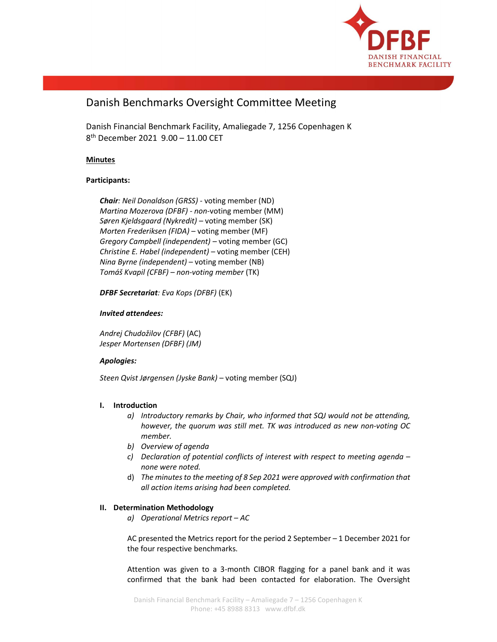

# Danish Benchmarks Oversight Committee Meeting

Danish Financial Benchmark Facility, Amaliegade 7, 1256 Copenhagen K 8 th December 2021 9.00 – 11.00 CET

# **Minutes**

# Participants:

Chair: Neil Donaldson (GRSS) - voting member (ND) Martina Mozerova (DFBF) - non-voting member (MM) Søren Kjeldsgaard (Nykredit) – voting member (SK) Morten Frederiksen (FIDA) – voting member (MF) Gregory Campbell (independent) – voting member (GC) Christine E. Habel (independent) – voting member (CEH) Nina Byrne (independent) – voting member (NB) Tomáš Kvapil (CFBF) – non-voting member (TK)

DFBF Secretariat: Eva Kops (DFBF) (EK)

# Invited attendees:

Andrej Chudožilov (CFBF) (AC) Jesper Mortensen (DFBF) (JM)

## Apologies:

Steen Qvist Jørgensen (Jyske Bank) – voting member (SQJ)

# I. Introduction

- a) Introductory remarks by Chair, who informed that SQJ would not be attending, however, the quorum was still met. TK was introduced as new non-voting OC member.
- b) Overview of agenda
- c) Declaration of potential conflicts of interest with respect to meeting agenda none were noted.
- d) The minutes to the meeting of 8 Sep 2021 were approved with confirmation that all action items arising had been completed.

## II. Determination Methodology

a) Operational Metrics report – AC

AC presented the Metrics report for the period 2 September – 1 December 2021 for the four respective benchmarks.

Attention was given to a 3-month CIBOR flagging for a panel bank and it was confirmed that the bank had been contacted for elaboration. The Oversight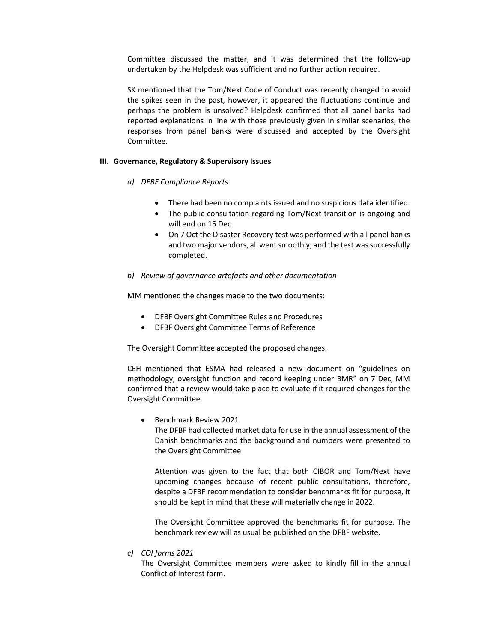Committee discussed the matter, and it was determined that the follow-up undertaken by the Helpdesk was sufficient and no further action required.

SK mentioned that the Tom/Next Code of Conduct was recently changed to avoid the spikes seen in the past, however, it appeared the fluctuations continue and perhaps the problem is unsolved? Helpdesk confirmed that all panel banks had reported explanations in line with those previously given in similar scenarios, the responses from panel banks were discussed and accepted by the Oversight Committee.

#### III. Governance, Regulatory & Supervisory Issues

#### a) DFBF Compliance Reports

- There had been no complaints issued and no suspicious data identified.
- The public consultation regarding Tom/Next transition is ongoing and will end on 15 Dec.
- On 7 Oct the Disaster Recovery test was performed with all panel banks and two major vendors, all went smoothly, and the test was successfully completed.

#### b) Review of governance artefacts and other documentation

MM mentioned the changes made to the two documents:

- DFBF Oversight Committee Rules and Procedures
- DFBF Oversight Committee Terms of Reference

The Oversight Committee accepted the proposed changes.

CEH mentioned that ESMA had released a new document on "guidelines on methodology, oversight function and record keeping under BMR" on 7 Dec, MM confirmed that a review would take place to evaluate if it required changes for the Oversight Committee.

Benchmark Review 2021

The DFBF had collected market data for use in the annual assessment of the Danish benchmarks and the background and numbers were presented to the Oversight Committee

Attention was given to the fact that both CIBOR and Tom/Next have upcoming changes because of recent public consultations, therefore, despite a DFBF recommendation to consider benchmarks fit for purpose, it should be kept in mind that these will materially change in 2022.

The Oversight Committee approved the benchmarks fit for purpose. The benchmark review will as usual be published on the DFBF website.

c) COI forms 2021

The Oversight Committee members were asked to kindly fill in the annual Conflict of Interest form.